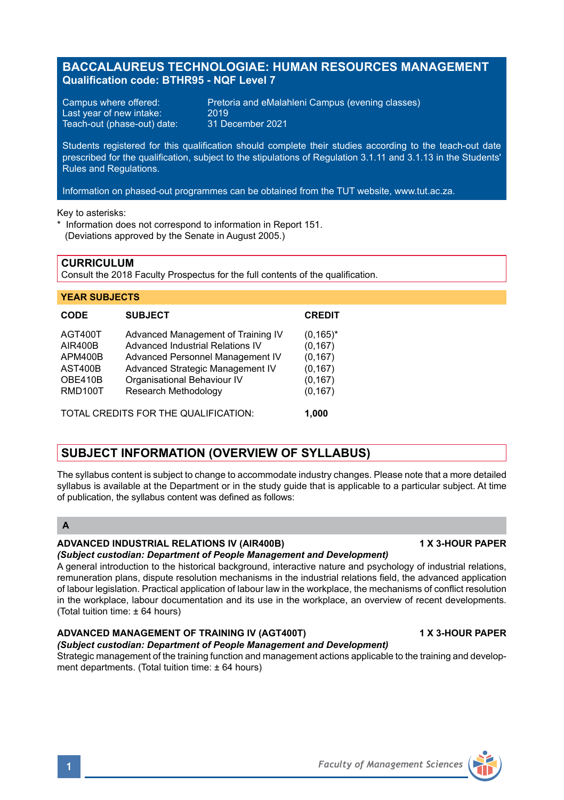# **BACCALAUREUS TECHNOLOGIAE: HUMAN RESOURCES MANAGEMENT Qualification code: BTHR95 - NQF Level 7**

Last year of new intake: 2019<br>Teach-out (phase-out) date: 31 December 2021 Teach-out (phase-out) date:

Campus where offered: Pretoria and eMalahleni Campus (evening classes)<br>Last vear of new intake: 2019

Students registered for this qualification should complete their studies according to the teach-out date prescribed for the qualification, subject to the stipulations of Regulation 3.1.11 and 3.1.13 in the Students' Rules and Regulations.

Information on phased-out programmes can be obtained from the TUT website, www.tut.ac.za.

Key to asterisks:

\* Information does not correspond to information in Report 151. (Deviations approved by the Senate in August 2005.)

**CURRICULUM**

Consult the 2018 Faculty Prospectus for the full contents of the qualification.

#### **YEAR SUBJECTS**

| <b>CODE</b>                                                                  | <b>SUBJECT</b>                                                                                                                                                                                        | <b>CREDIT</b>                                                            |
|------------------------------------------------------------------------------|-------------------------------------------------------------------------------------------------------------------------------------------------------------------------------------------------------|--------------------------------------------------------------------------|
| AGT400T<br><b>AIR400B</b><br>APM400B<br>AST400B<br>OBE410B<br><b>RMD100T</b> | Advanced Management of Training IV<br>Advanced Industrial Relations IV<br>Advanced Personnel Management IV<br>Advanced Strategic Management IV<br>Organisational Behaviour IV<br>Research Methodology | $(0, 165)^*$<br>(0, 167)<br>(0, 167)<br>(0, 167)<br>(0, 167)<br>(0, 167) |
| TOTAL CREDITS FOR THE QUALIFICATION:                                         |                                                                                                                                                                                                       | 1.000                                                                    |

# **SUBJECT INFORMATION (OVERVIEW OF SYLLABUS)**

The syllabus content is subject to change to accommodate industry changes. Please note that a more detailed syllabus is available at the Department or in the study quide that is applicable to a particular subject. At time of publication, the syllabus content was defined as follows:

# **A**

## **ADVANCED INDUSTRIAL RELATIONS IV (AIR400B) 1 X 3-HOUR PAPER**

#### *(Subject custodian: Department of People Management and Development)*

A general introduction to the historical background, interactive nature and psychology of industrial relations, remuneration plans, dispute resolution mechanisms in the industrial relations field, the advanced application of labour legislation. Practical application of labour law in the workplace, the mechanisms of conflict resolution in the workplace, labour documentation and its use in the workplace, an overview of recent developments. (Total tuition time: ± 64 hours)

# **ADVANCED MANAGEMENT OF TRAINING IV (AGT400T) 1 X 3-HOUR PAPER**

## *(Subject custodian: Department of People Management and Development)*

Strategic management of the training function and management actions applicable to the training and development departments. (Total tuition time: ± 64 hours)